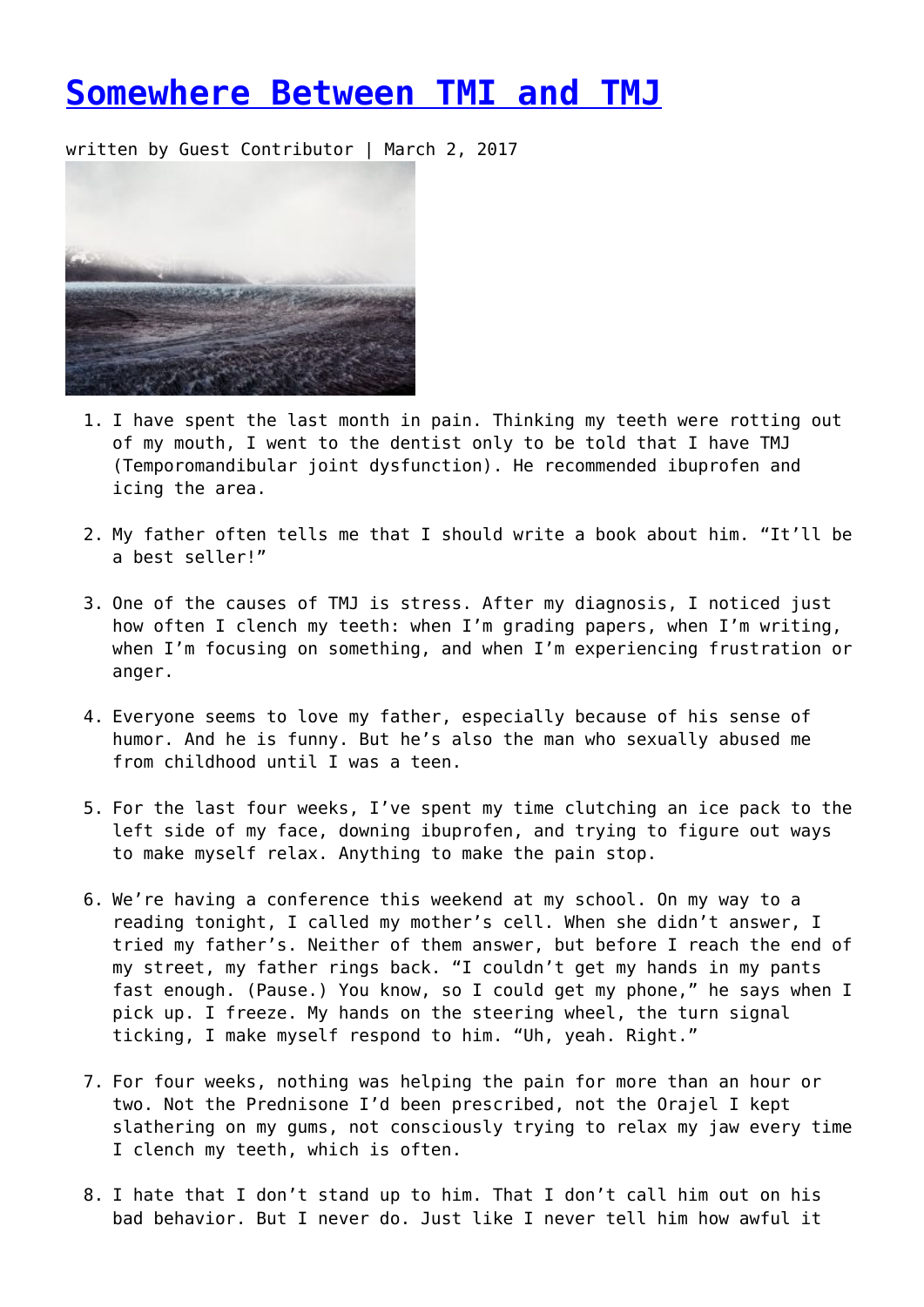## **[Somewhere Between TMI and TMJ](https://entropymag.org/somewhere-between-tmi-and-tmj/)**

written by Guest Contributor | March 2, 2017



- 1. I have spent the last month in pain. Thinking my teeth were rotting out of my mouth, I went to the dentist only to be told that I have TMJ (Temporomandibular joint dysfunction). He recommended ibuprofen and icing the area.
- 2. My father often tells me that I should write a book about him. "It'll be a best seller!"
- 3. One of the causes of TMJ is stress. After my diagnosis, I noticed just how often I clench my teeth: when I'm grading papers, when I'm writing, when I'm focusing on something, and when I'm experiencing frustration or anger.
- 4. Everyone seems to love my father, especially because of his sense of humor. And he is funny. But he's also the man who sexually abused me from childhood until I was a teen.
- 5. For the last four weeks, I've spent my time clutching an ice pack to the left side of my face, downing ibuprofen, and trying to figure out ways to make myself relax. Anything to make the pain stop.
- 6. We're having a conference this weekend at my school. On my way to a reading tonight, I called my mother's cell. When she didn't answer, I tried my father's. Neither of them answer, but before I reach the end of my street, my father rings back. "I couldn't get my hands in my pants fast enough. (Pause.) You know, so I could get my phone," he says when I pick up. I freeze. My hands on the steering wheel, the turn signal ticking, I make myself respond to him. "Uh, yeah. Right."
- 7. For four weeks, nothing was helping the pain for more than an hour or two. Not the Prednisone I'd been prescribed, not the Orajel I kept slathering on my gums, not consciously trying to relax my jaw every time I clench my teeth, which is often.
- 8. I hate that I don't stand up to him. That I don't call him out on his bad behavior. But I never do. Just like I never tell him how awful it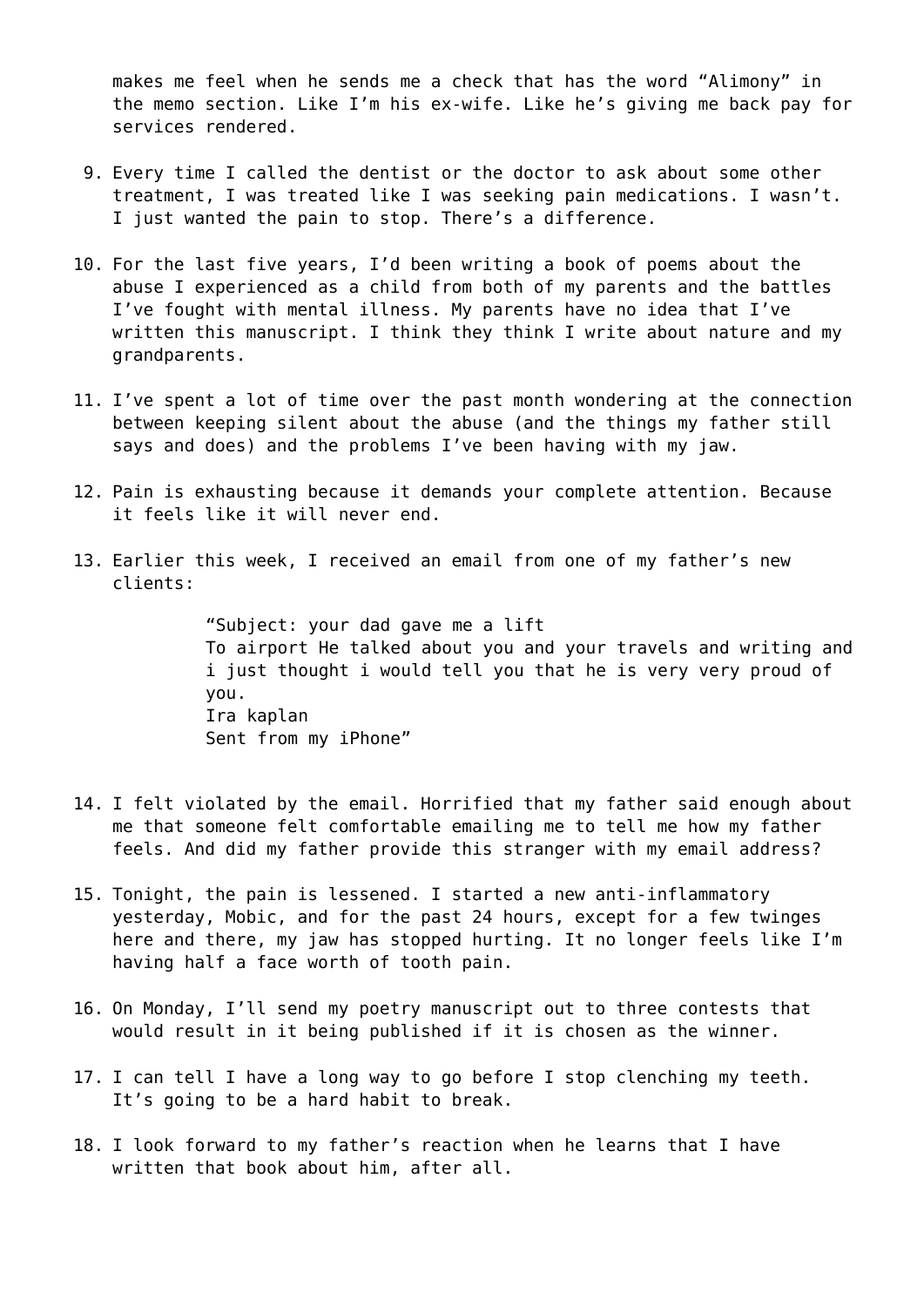makes me feel when he sends me a check that has the word "Alimony" in the memo section. Like I'm his ex-wife. Like he's giving me back pay for services rendered.

- 9. Every time I called the dentist or the doctor to ask about some other treatment, I was treated like I was seeking pain medications. I wasn't. I just wanted the pain to stop. There's a difference.
- 10. For the last five years, I'd been writing a book of poems about the abuse I experienced as a child from both of my parents and the battles I've fought with mental illness. My parents have no idea that I've written this manuscript. I think they think I write about nature and my grandparents.
- 11. I've spent a lot of time over the past month wondering at the connection between keeping silent about the abuse (and the things my father still says and does) and the problems I've been having with my jaw.
- 12. Pain is exhausting because it demands your complete attention. Because it feels like it will never end.
- 13. Earlier this week, I received an email from one of my father's new clients:

"Subject: your dad gave me a lift To airport He talked about you and your travels and writing and i just thought i would tell you that he is very very proud of you. Ira kaplan Sent from my iPhone"

- 14. I felt violated by the email. Horrified that my father said enough about me that someone felt comfortable emailing me to tell me how my father feels. And did my father provide this stranger with my email address?
- 15. Tonight, the pain is lessened. I started a new anti-inflammatory yesterday, Mobic, and for the past 24 hours, except for a few twinges here and there, my jaw has stopped hurting. It no longer feels like I'm having half a face worth of tooth pain.
- 16. On Monday, I'll send my poetry manuscript out to three contests that would result in it being published if it is chosen as the winner.
- 17. I can tell I have a long way to go before I stop clenching my teeth. It's going to be a hard habit to break.
- 18. I look forward to my father's reaction when he learns that I have written that book about him, after all.